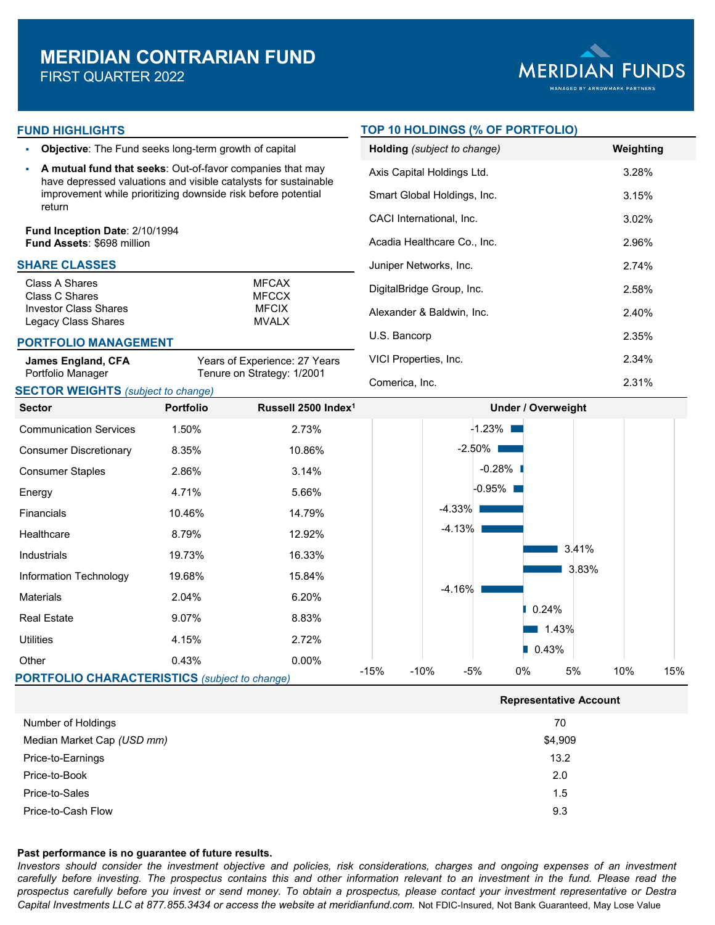

## **FUND HIGHLIGHTS**

- **Objective**: The Fund seeks long-term growth of capital
- **A mutual fund that seeks**: Out-of-favor companies that may have depressed valuations and visible catalysts for sustainable improvement while prioritizing downside risk before potential return

**Fund Inception Date**: 2/10/1994 **Fund Assets**: \$698 million

## **SHARE CLASSES**

| Class A Shares               | <b>MFCAX</b> |
|------------------------------|--------------|
| Class C Shares               | <b>MECCX</b> |
| <b>Investor Class Shares</b> | <b>MECIX</b> |
| Legacy Class Shares          | MVAI X       |
|                              |              |

#### **PORTFOLIO MANAGEMENT**

| <b>James England, CFA</b> | Years of Experience: 27 Years |  |  |  |  |  |  |
|---------------------------|-------------------------------|--|--|--|--|--|--|
| Portfolio Manager         | Tenure on Strategy: 1/2001    |  |  |  |  |  |  |

## **SECTOR WEIGHTS** *(subject to change)*

## **TOP 10 HOLDINGS (% OF PORTFOLIO)**

| <b>Holding</b> (subject to change) | Weighting |
|------------------------------------|-----------|
| Axis Capital Holdings Ltd.         | 3.28%     |
| Smart Global Holdings, Inc.        | 3.15%     |
| CACI International, Inc.           | $3.02\%$  |
| Acadia Healthcare Co., Inc.        | 2.96%     |
| Juniper Networks, Inc.             | 2.74%     |
| DigitalBridge Group, Inc.          | 2.58%     |
| Alexander & Baldwin, Inc.          | 2.40%     |
| U.S. Bancorp                       | 2.35%     |
| VICI Properties, Inc.              | 2.34%     |
| Comerica, Inc.                     | 2.31%     |

**Representative Account**



| Number of Holdings         | 70      |
|----------------------------|---------|
| Median Market Cap (USD mm) | \$4,909 |
| Price-to-Earnings          | 13.2    |
| Price-to-Book              | 2.0     |
| Price-to-Sales             | 1.5     |
| Price-to-Cash Flow         | 9.3     |

#### **Past performance is no guarantee of future results.**

Investors should consider the investment objective and policies, risk considerations, charges and ongoing expenses of an investment carefully before investing. The prospectus contains this and other information relevant to an investment in the fund. Please read the prospectus carefully before you invest or send money. To obtain a prospectus, please contact your investment representative or Destra *Capital Investments LLC at 877.855.3434 or access the website at meridianfund.com.* Not FDIC-Insured, Not Bank Guaranteed, May Lose Value